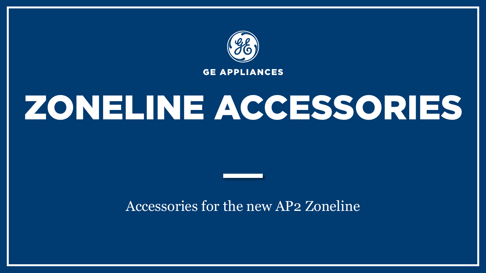

# ZONELINE ACCESSORIES

### Accessories for the new AP2 Zoneline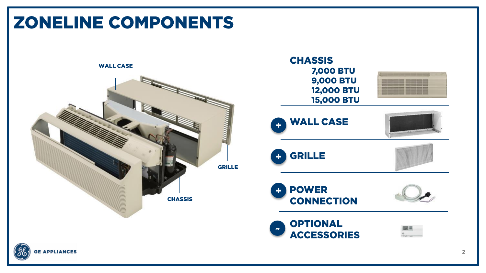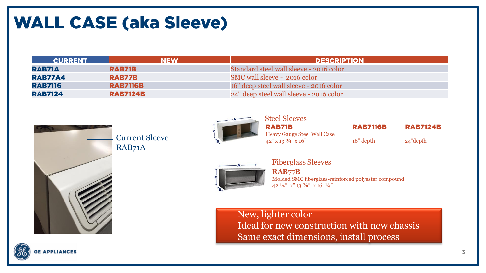### **WALL CASE (aka Sleeve)**

| <b>CURRENT</b> | <b>NEW</b>      | <b>DESCRIPTION</b>                      |
|----------------|-----------------|-----------------------------------------|
| RAB71A         | RAB71B          | Standard steel wall sleeve - 2016 color |
| <b>RAB77A4</b> | RAB77B          | SMC wall sleeve - 2016 color            |
| <b>RAB7116</b> | <b>RAB7116B</b> | 16" deep steel wall sleeve - 2016 color |
| <b>RAB7124</b> | <b>RAB7124B</b> | 24" deep steel wall sleeve - 2016 color |



Current Sleeve RAB71A



Steel Sleeves **RAB71B** Heavy Gauge Steel Wall Case  $42''$  x  $13\frac{3}{4}$ " x  $16''$  depth 24" depth

**RAB7116B** 

**RAB7124B** 



Fiberglass Sleeves

**RAB77B** Molded SMC fiberglass-reinforced polyester compound 42 ¼" x" 13 ⅞" x 16 ¼"

New, lighter color Ideal for new construction with new chassis Same exact dimensions, install process

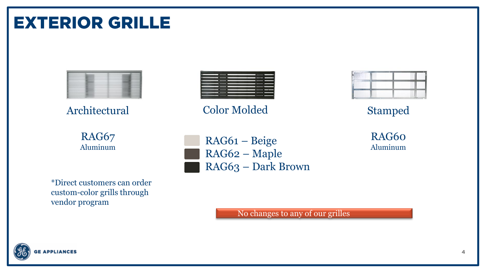### **GE APPLIANCES**



\*Direct customers can order custom-color grills through vendor program

RAG61 – Beige RAG62 – Maple RAG63 – Dark Brown

No changes to any of our grilles

RAG60 Aluminum

Stamped

RAG67 Aluminum

**EXTERIOR GRILLE** 



Architectural Color Molded

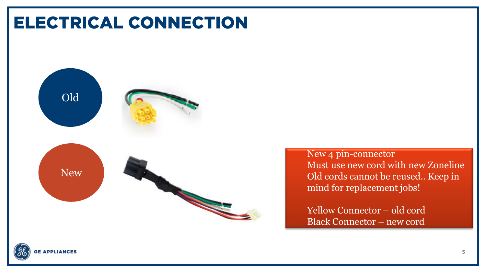### **ELECTRICAL CONNECTION**



New 4 pin -connector Must use new cord with new Zoneline Old cords cannot be reused.. Keep in mind for replacement jobs!

Yellow Connector – old cord Black Connector – new cord

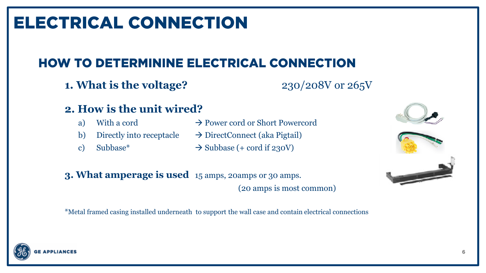### **ELECTRICAL CONNECTION**

### **HOW TO DETERMININE ELECTRICAL CONNECTION**

**1. What is the voltage?** 230/208V or 265V

#### **2. How is the unit wired?**

- 
- 
- 
- a) With a cord  $\rightarrow$  Power cord or Short Powercord
- b) Directly into receptacle  $\rightarrow$  DirectConnect (aka Pigtail)
- c) Subbase\*  $\rightarrow$  Subbase (+ cord if 230V)



\*Metal framed casing installed underneath to support the wall case and contain electrical connections





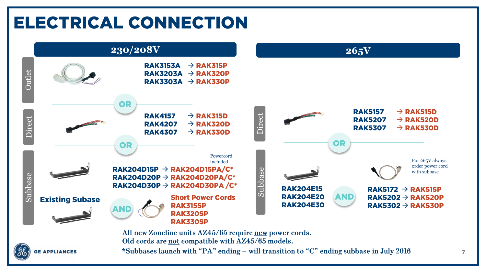### **ELECTRICAL CONNECTION**



Old cords are not compatible with AZ45/65 models.



\*Subbases launch with "PA" ending - will transition to "C" ending subbase in July 2016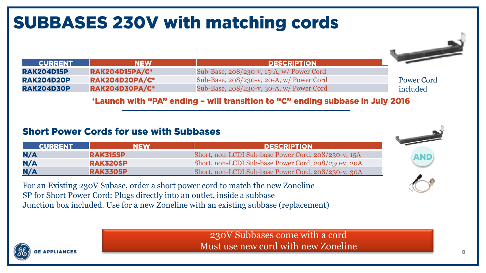### **SUBBASES 230V with matching cords**



| -----------       | $\blacksquare$        | LESSKIP HUN                                    |  |
|-------------------|-----------------------|------------------------------------------------|--|
| <b>RAK204D15P</b> | <b>RAK204D15PA/C*</b> | Sub-Base, 208/230-v, 15-A, w/ Power Cord       |  |
| RAK204D20P        | <b>RAK204D20PA/C*</b> | Sub-Base, 208/230-v, 20-A, w/ Power Cord       |  |
| <b>RAK204D30P</b> | <b>RAK204D30PA/C*</b> | Sub-Base, $208/230$ -v, $30-A$ , w/ Power Cord |  |

Power Cord included

#### \*Launch with "PA" ending - will transition to "C" ending subbase in July 2016

#### **Short Power Cords for use with Subbases**

| <b>CURRENT</b> | <b>NEW</b>      | <b>DESCRIPTION</b>                                  |
|----------------|-----------------|-----------------------------------------------------|
| N/A            | <b>RAK315SP</b> | Short, non-LCDI Sub-base Power Cord, 208/230-v, 15A |
| N/A            | <b>RAK320SP</b> | Short, non-LCDI Sub-base Power Cord, 208/230-v, 20A |
| N/A            | <b>RAK330SP</b> | Short, non-LCDI Sub-base Power Cord, 208/230-v, 30A |



For an Existing 230V Subase, order a short power cord to match the new Zoneline SP for Short Power Cord: Plugs directly into an outlet, inside a subbase Junction box included. Use for a new Zoneline with an existing subbase (replacement)

> 230V Subbases come with a cord Must use new cord with new Zoneline



**ALLANDRUM**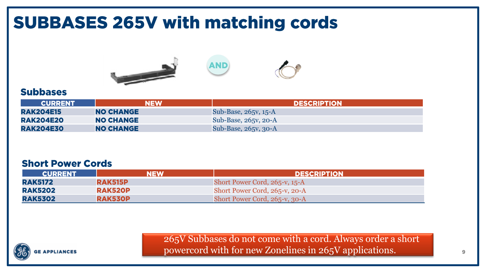### **SUBBASES 265V with matching cords**





#### **Subbases**

| <b>CURRENT</b>   | <b>NEW</b>       | <b>DESCRIPTION</b>   |
|------------------|------------------|----------------------|
| <b>RAK204E15</b> | <b>NO CHANGE</b> | Sub-Base, 265v, 15-A |
| <b>RAK204E20</b> | <b>NO CHANGE</b> | Sub-Base, 265v, 20-A |
| <b>RAK204E30</b> | <b>NO CHANGE</b> | Sub-Base, 265v, 30-A |

#### **Short Power Cords**

| <b>CURRENT</b> | NEW            | <b>DESCRIPTION</b>            |  |  |
|----------------|----------------|-------------------------------|--|--|
| <b>RAK5172</b> | <b>RAK515P</b> | Short Power Cord, 265-v, 15-A |  |  |
| <b>RAK5202</b> | <b>RAK520P</b> | Short Power Cord, 265-v, 20-A |  |  |
| <b>RAK5302</b> | <b>RAK530P</b> | Short Power Cord, 265-v, 30-A |  |  |



265V Subbases do not come with a cord. Always order a short powercord with for new Zonelines in 265V applications.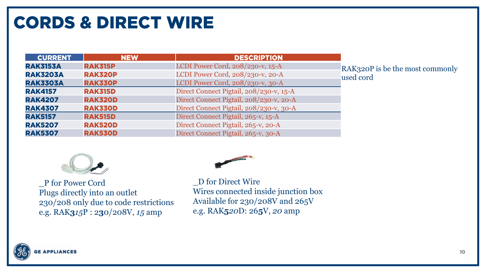### **CORDS & DIRECT WIRE**

| <b>CURRENT</b>  | <b>NEW</b>     | <b>DESCRIPTION</b>                      |
|-----------------|----------------|-----------------------------------------|
| <b>RAK3153A</b> | <b>RAK315P</b> | LCDI Power Cord, 208/230-v, 15-A        |
| <b>RAK3203A</b> | <b>RAK320P</b> | LCDI Power Cord, 208/230-v, 20-A        |
| <b>RAK3303A</b> | <b>RAK330P</b> | LCDI Power Cord, 208/230-v, 30-A        |
| <b>RAK4157</b>  | <b>RAK315D</b> | Direct Connect Pigtail, 208/230-v, 15-A |
| <b>RAK4207</b>  | <b>RAK320D</b> | Direct Connect Pigtail, 208/230-v, 20-A |
| <b>RAK4307</b>  | <b>RAK330D</b> | Direct Connect Pigtail, 208/230-v, 30-A |
| <b>RAK5157</b>  | <b>RAK515D</b> | Direct Connect Pigtail, 265-v, 15-A     |
| <b>RAK5207</b>  | <b>RAK520D</b> | Direct Connect Pigtail, 265-v, 20-A     |
| <b>RAK5307</b>  | <b>RAK530D</b> | Direct Connect Pigtail, 265-v, 30-A     |

RAK320P is be the most commonly used cord



\_P for Power Cord Plugs directly into an outlet 230/208 only due to code restrictions e.g. RAK**3***15*P : 2**3**0/208V, *15* amp



\_D for Direct Wire Wires connected inside junction box Available for 230/208V and 265V e.g. RAK**5***20*D: 26**5**V, *20* amp

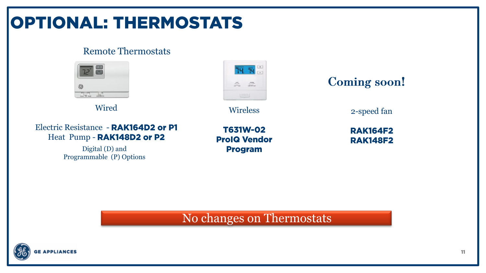### **OPTIONAL: THERMOSTATS**

#### Remote Thermostats



Wired

Electric Resistance - RAK164D2 or P1 Heat Pump - RAK148D2 or P2

> Digital (D) and Programmable (P) Options



Wireless

**T631W-02 ProIQ Vendor Program** 

2-speed fan

**RAK164F2 RAK148F2** 

#### No changes on Thermostats

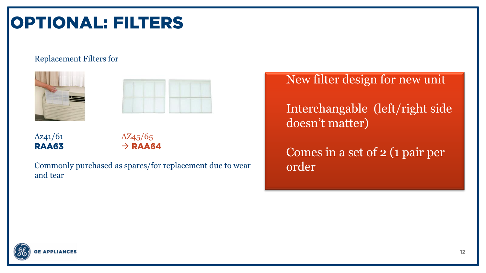### **OPTIONAL: FILTERS**

#### Replacement Filters for





Az<sub>41</sub>/6<sub>1</sub> Az<sub>45</sub>/6<sub>5</sub> **RAA63** 

### $\rightarrow$  RAA64

Commonly purchased as spares/for replacement due to wear and tear

New filter design for new unit

Interchangable (left/right side doesn't matter)

Comes in a set of 2 (1 pair per order

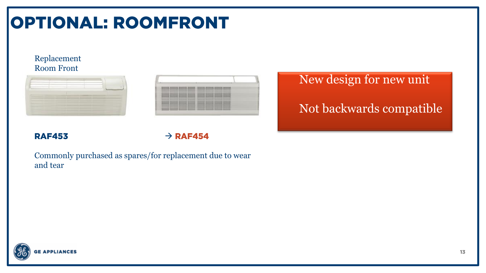### **OPTIONAL: ROOMFRONT**

#### Replacement Room Front



#### **RAF453**

 $\rightarrow$  RAF454

Commonly purchased as spares/for replacement due to wear and tear

New design for new unit Not backwards compatible

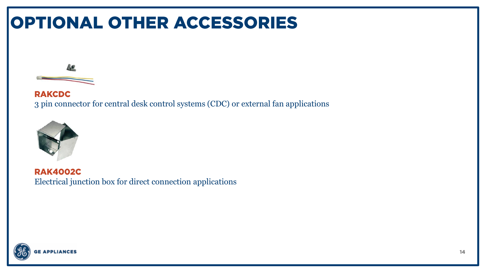### **OPTIONAL OTHER ACCESSORIES**



**RAKCDC** 3 pin connector for central desk control systems (CDC) or external fan applications



**RAK4002C** Electrical junction box for direct connection applications

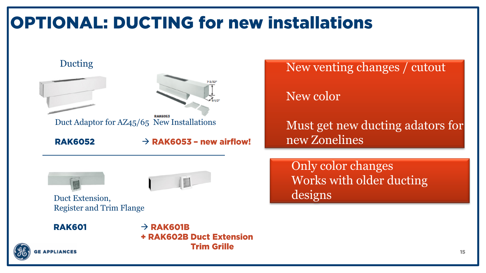### **OPTIONAL: DUCTING for new installations**





New venting changes / cutout

New color

Must get new ducting adators for new Zonelines

Only color changes Works with older ducting designs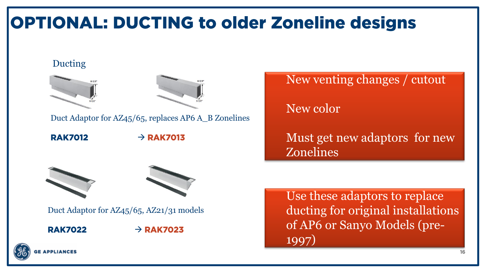### **OPTIONAL: DUCTING to older Zoneline designs**

#### Ducting





Duct Adaptor for AZ45/65, replaces AP6 A\_B Zonelines

**RAK7012** 

 $\rightarrow$  RAK7013





Duct Adaptor for AZ45/65, AZ21/31 models

**RAK7022** 

 $\rightarrow$  RAK7023

New venting changes / cutout

New color

Must get new adaptors for new Zonelines

Use these adaptors to replace ducting for original installations of AP6 or Sanyo Models (pre-1997)

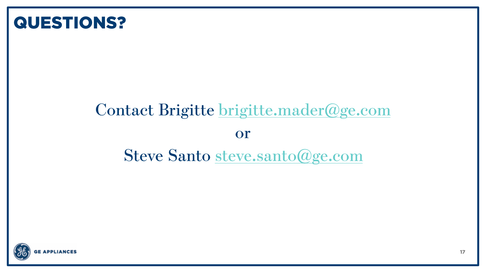### **QUESTIONS?**

### Contact Brigitte brigitte.mader@ge.com **or Steve Santo steve.santo@ge.com**